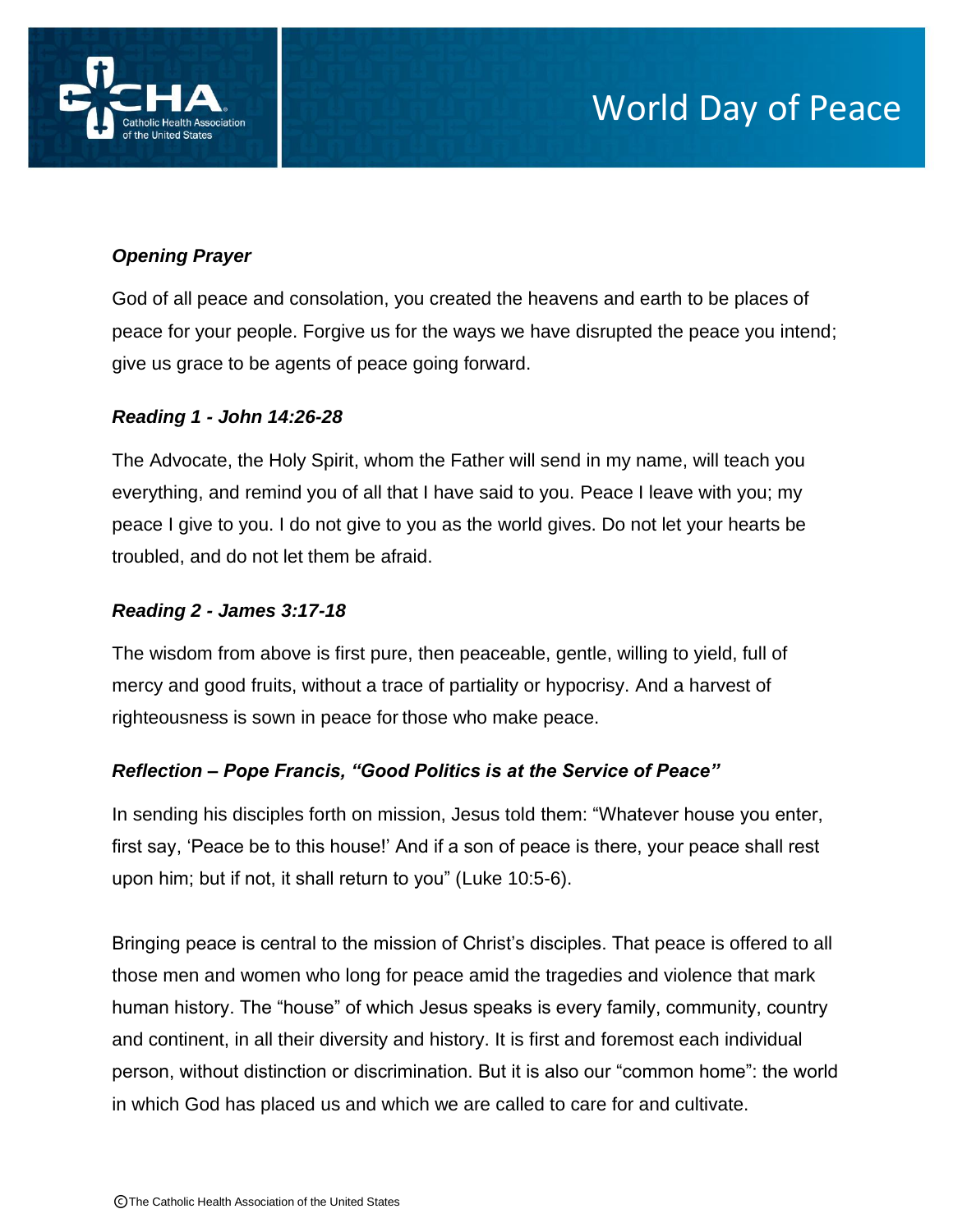

# *Opening Prayer*

God of all peace and consolation, you created the heavens and earth to be places of peace for your people. Forgive us for the ways we have disrupted the peace you intend; give us grace to be agents of peace going forward.

## *Reading 1 - John 14:26-28*

The Advocate, the Holy Spirit, whom the Father will send in my name, will teach you everything, and remind you of all that I have said to you. Peace I leave with you; my peace I give to you. I do not give to you as the world gives. Do not let your hearts be troubled, and do not let them be afraid.

## *Reading 2 - James 3:17-18*

The wisdom from above is first pure, then peaceable, gentle, willing to yield, full of mercy and good fruits, without a trace of partiality or hypocrisy. And a harvest of righteousness is sown in peace for those who make peace.

#### *Reflection – Pope Francis, "Good Politics is at the Service of Peace"*

In sending his disciples forth on mission, Jesus told them: "Whatever house you enter, first say, 'Peace be to this house!' And if a son of peace is there, your peace shall rest upon him; but if not, it shall return to you" (Luke 10:5-6).

Bringing peace is central to the mission of Christ's disciples. That peace is offered to all those men and women who long for peace amid the tragedies and violence that mark human history. The "house" of which Jesus speaks is every family, community, country and continent, in all their diversity and history. It is first and foremost each individual person, without distinction or discrimination. But it is also our "common home": the world in which God has placed us and which we are called to care for and cultivate.